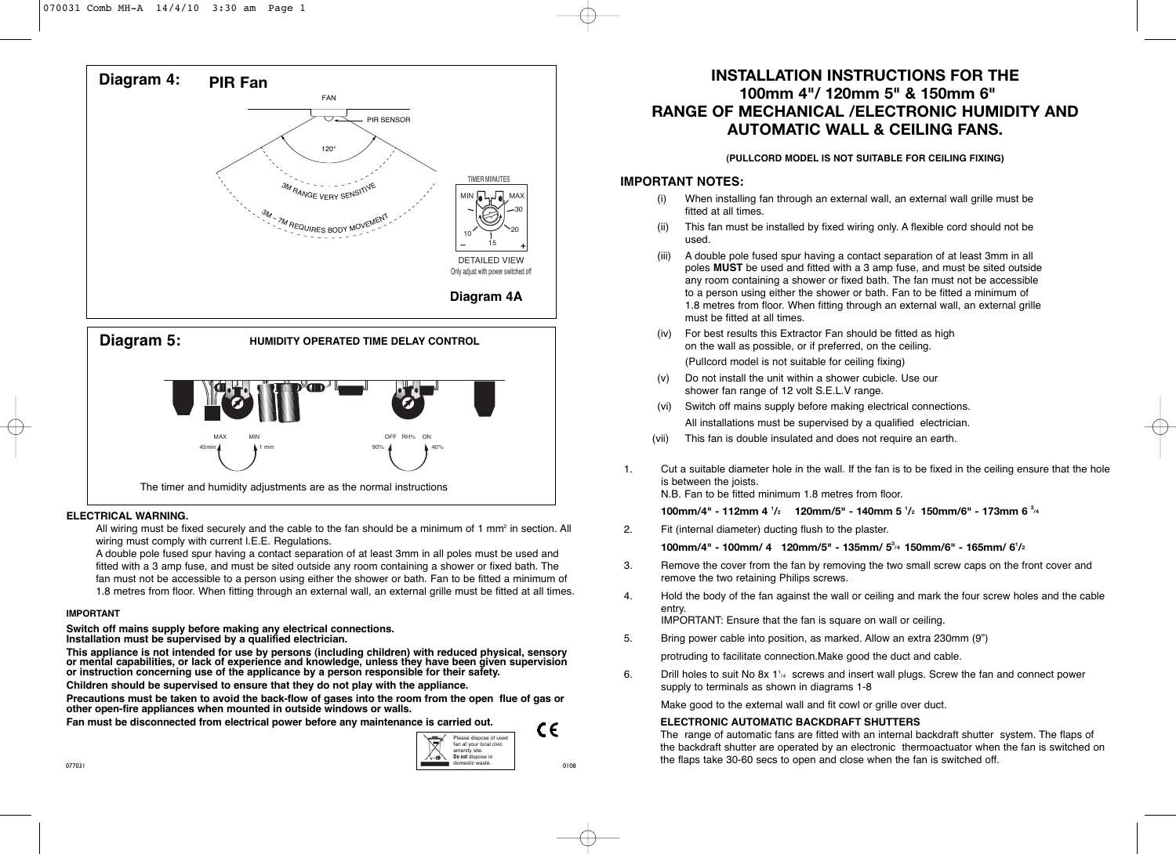



# **ELECTRICAL WARNING.**

All wiring must be fixed securely and the cable to the fan should be a minimum of 1 mm<sup>2</sup> in section. All wiring must comply with current l.E.E. Regulations.

A double pole fused spur having a contact separation of at least 3mm in all poles must be used and fitted with a 3 amp fuse, and must be sited outside any room containing a shower or fixed bath. The fan must not be accessible to a person using either the shower or bath. Fan to be fitted a minimum of 1.8 metres from floor. When fitting through an external wall, an external grille must be fitted at all times.

#### **IMPORTANT**

**Switch off mains supply before making any electrical connections. Installation must be supervised by a qualified electrician.**

**This appliance is not intended for use by persons (including children) with reduced physical, sensory or mental capabilities, or lack of experience and knowledge, unless they have been given supervision or instruction concerning use of the applicance by a person responsible for their safety.**

**Children should be supervised to ensure that they do not play with the appliance.**

**Precautions must be taken to avoid the back-flow of gases into the room from the open flue of gas or other open-fire appliances when mounted in outside windows or walls.**

**Fan must be disconnected from electrical power before any maintenance is carried out.**



# **100mm 4"/ 120mm 5" & 150mm 6" RANGE OF MECHANICAL /ELECTRONIC HUMIDITY AND AUTOMATIC WALL & CEILING FANS.**

# **(PULLCORD MODEL IS NOT SUITABLE FOR CEILING FIXING)**

# **IMPORTANT NOTES:**

- (i) When installing fan through an external wall, an external wall grille must be fitted at all times.
- (ii) This fan must be installed by fixed wiring only. A flexible cord should not be used.
- (iii) A double pole fused spur having a contact separation of at least 3mm in all poles **MUST** be used and fitted with a 3 amp fuse, and must be sited outside any room containing a shower or fixed bath. The fan must not be accessible to a person using either the shower or bath. Fan to be fitted a minimum of 1.8 metres from floor. When fitting through an external wall, an external grille must be fitted at all times.
- (iv) For best results this Extractor Fan should be fitted as high on the wall as possible, or if preferred, on the ceiling. (PulIcord model is not suitable for ceiling fixing)
- (v) Do not install the unit within a shower cubicle. Use our shower fan range of 12 volt S.E.L.V range.
- (vi) Switch off mains supply before making electrical connections. All installations must be supervised by a qualified electrician.
- (vii) This fan is double insulated and does not require an earth.
- 1. Cut a suitable diameter hole in the wall. If the fan is to be fixed in the ceiling ensure that the hole is between the joists.

N.B. Fan to be fitted minimum 1.8 metres from floor.

**100mm/4" - 112mm 4 1 /2 120mm/5" - 140mm 5 1 /2 150mm/6" - 173mm 6 <sup>3</sup> /4**

2. Fit (internal diameter) ducting flush to the plaster.

**100mm/4" - 100mm/ 4 120mm/5" - 135mm/ 53 /4 150mm/6" - 165mm/ 61 /2**

- 3. Remove the cover from the fan by removing the two small screw caps on the front cover and remove the two retaining Philips screws.
- 4. Hold the body of the fan against the wall or ceiling and mark the four screw holes and the cable entry. IMPORTANT: Ensure that the fan is square on wall or ceiling.
- 5. Bring power cable into position, as marked. Allow an extra 230mm (9")

protruding to facilitate connection.Make good the duct and cable.

6. Drill holes to suit No 8x  $1_A$  screws and insert wall plugs. Screw the fan and connect power supply to terminals as shown in diagrams 1-8

Make good to the external wall and fit cowl or grille over duct.

#### **ELECTRONIC AUTOMATIC BACKDRAFT SHUTTERS**

The range of automatic fans are fitted with an internal backdraft shutter system. The flaps of the backdraft shutter are operated by an electronic thermoactuator when the fan is switched on the flaps take 30-60 secs to open and close when the fan is switched off.